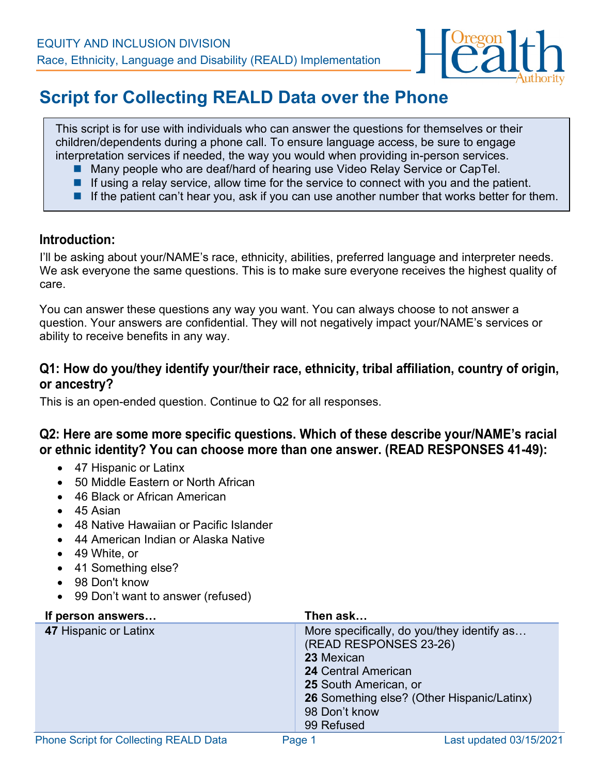

# **Script for Collecting REALD Data over the Phone**

This script is for use with individuals who can answer the questions for themselves or their children/dependents during a phone call. To ensure language access, be sure to engage interpretation services if needed, the way you would when providing in-person services.

- Many people who are deaf/hard of hearing use Video Relay Service or CapTel.
- If using a relay service, allow time for the service to connect with you and the patient.
- If the patient can't hear you, ask if you can use another number that works better for them.

#### **Introduction:**

I'll be asking about your/NAME's race, ethnicity, abilities, preferred language and interpreter needs. We ask everyone the same questions. This is to make sure everyone receives the highest quality of care.

You can answer these questions any way you want. You can always choose to not answer a question. Your answers are confidential. They will not negatively impact your/NAME's services or ability to receive benefits in any way.

#### **Q1: How do you/they identify your/their race, ethnicity, tribal affiliation, country of origin, or ancestry?**

This is an open-ended question. Continue to Q2 for all responses.

#### **Q2: Here are some more specific questions. Which of these describe your/NAME's racial or ethnic identity? You can choose more than one answer. (READ RESPONSES 41-49):**

- 47 Hispanic or Latinx
- 50 Middle Eastern or North African
- 46 Black or African American
- 45 Asian
- 48 Native Hawaiian or Pacific Islander
- 44 American Indian or Alaska Native
- 49 White, or
- 41 Something else?
- 98 Don't know
- 99 Don't want to answer (refused)

| If person answers     | Then ask                                                                                                                                                                                                                      |
|-----------------------|-------------------------------------------------------------------------------------------------------------------------------------------------------------------------------------------------------------------------------|
| 47 Hispanic or Latinx | More specifically, do you/they identify as<br>(READ RESPONSES 23-26)<br>23 Mexican<br><b>24 Central American</b><br><b>25 South American, or</b><br>26 Something else? (Other Hispanic/Latinx)<br>98 Don't know<br>99 Refused |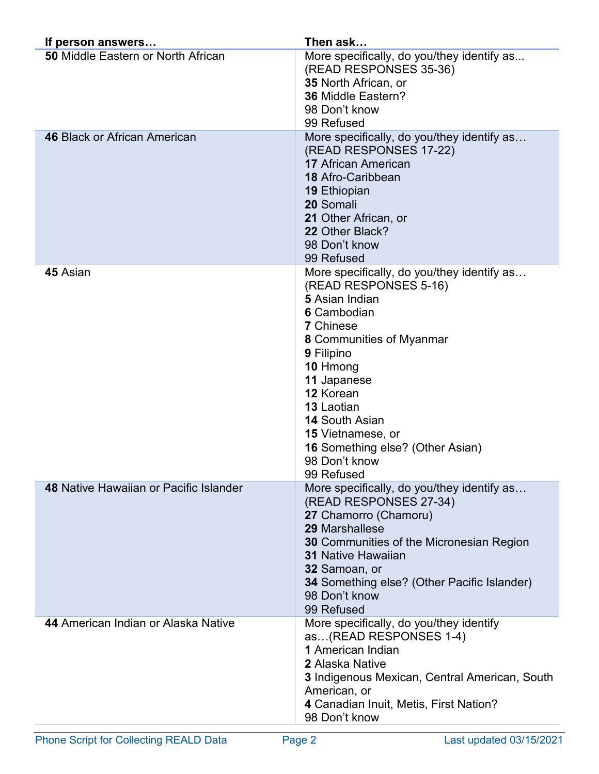| If person answers                         | Then ask                                                                                                                                                                                                                                                                                                                                                |
|-------------------------------------------|---------------------------------------------------------------------------------------------------------------------------------------------------------------------------------------------------------------------------------------------------------------------------------------------------------------------------------------------------------|
| <b>50 Middle Eastern or North African</b> | More specifically, do you/they identify as<br>(READ RESPONSES 35-36)<br>35 North African, or<br>36 Middle Eastern?<br>98 Don't know<br>99 Refused                                                                                                                                                                                                       |
| <b>46 Black or African American</b>       | More specifically, do you/they identify as<br>(READ RESPONSES 17-22)<br><b>17 African American</b><br><b>18 Afro-Caribbean</b><br><b>19 Ethiopian</b><br>20 Somali<br>21 Other African, or<br>22 Other Black?<br>98 Don't know<br>99 Refused                                                                                                            |
| 45 Asian                                  | More specifically, do you/they identify as<br>(READ RESPONSES 5-16)<br>5 Asian Indian<br>6 Cambodian<br><b>7</b> Chinese<br>8 Communities of Myanmar<br>9 Filipino<br>10 Hmong<br>11 Japanese<br>12 Korean<br>13 Laotian<br><b>14 South Asian</b><br><b>15</b> Vietnamese, or<br><b>16 Something else? (Other Asian)</b><br>98 Don't know<br>99 Refused |
| 48 Native Hawaiian or Pacific Islander    | More specifically, do you/they identify as<br>(READ RESPONSES 27-34)<br>27 Chamorro (Chamoru)<br>29 Marshallese<br><b>30</b> Communities of the Micronesian Region<br><b>31 Native Hawaiian</b><br>32 Samoan, or<br>34 Something else? (Other Pacific Islander)<br>98 Don't know<br>99 Refused                                                          |
| 44 American Indian or Alaska Native       | More specifically, do you/they identify<br>as(READ RESPONSES 1-4)<br><b>1</b> American Indian<br><b>2 Alaska Native</b><br><b>3</b> Indigenous Mexican, Central American, South<br>American, or<br>4 Canadian Inuit, Metis, First Nation?<br>98 Don't know                                                                                              |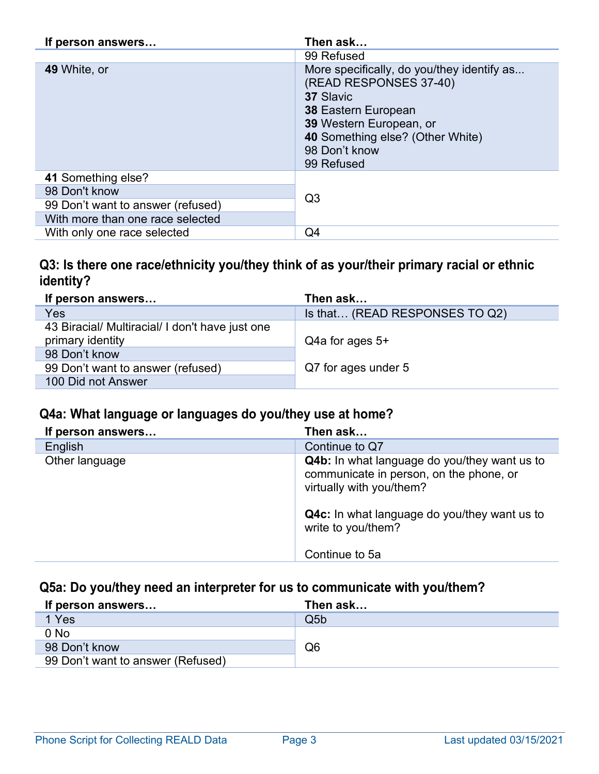| If person answers                 | Then ask                                                                                                                                                                                                      |
|-----------------------------------|---------------------------------------------------------------------------------------------------------------------------------------------------------------------------------------------------------------|
|                                   | 99 Refused                                                                                                                                                                                                    |
| 49 White, or                      | More specifically, do you/they identify as<br>(READ RESPONSES 37-40)<br>37 Slavic<br><b>38 Eastern European</b><br>39 Western European, or<br>40 Something else? (Other White)<br>98 Don't know<br>99 Refused |
| 41 Something else?                |                                                                                                                                                                                                               |
| 98 Don't know                     | Q <sub>3</sub>                                                                                                                                                                                                |
| 99 Don't want to answer (refused) |                                                                                                                                                                                                               |
| With more than one race selected  |                                                                                                                                                                                                               |
| With only one race selected       | Q4                                                                                                                                                                                                            |

# **Q3: Is there one race/ethnicity you/they think of as your/their primary racial or ethnic identity?**

| If person answers                               | Then ask                       |
|-------------------------------------------------|--------------------------------|
| Yes                                             | Is that (READ RESPONSES TO Q2) |
| 43 Biracial/ Multiracial/ I don't have just one |                                |
| primary identity                                | $Q4a$ for ages $5+$            |
| 98 Don't know                                   |                                |
| 99 Don't want to answer (refused)               | Q7 for ages under 5            |
| 100 Did not Answer                              |                                |

# **Q4a: What language or languages do you/they use at home?**

| If person answers | Then ask                                                                                                                   |
|-------------------|----------------------------------------------------------------------------------------------------------------------------|
| English           | Continue to Q7                                                                                                             |
| Other language    | <b>Q4b:</b> In what language do you/they want us to<br>communicate in person, on the phone, or<br>virtually with you/them? |
|                   | <b>Q4c:</b> In what language do you/they want us to<br>write to you/them?                                                  |
|                   | Continue to 5a                                                                                                             |

# **Q5a: Do you/they need an interpreter for us to communicate with you/them?**

| If person answers                 | Then ask |
|-----------------------------------|----------|
| 1 Yes                             | Q5b      |
| $0$ No                            |          |
| 98 Don't know                     | Q6       |
| 99 Don't want to answer (Refused) |          |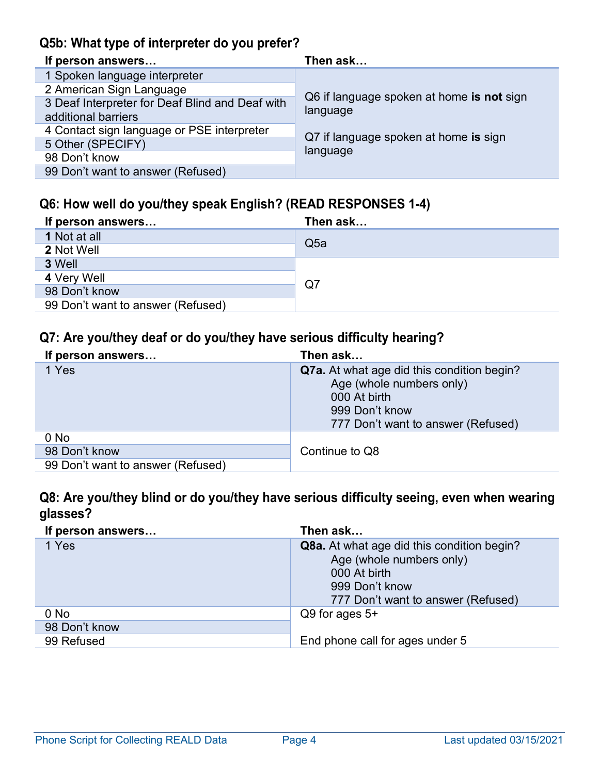# **Q5b: What type of interpreter do you prefer?**

| If person answers                               | Then ask                                  |
|-------------------------------------------------|-------------------------------------------|
| 1 Spoken language interpreter                   |                                           |
| 2 American Sign Language                        |                                           |
| 3 Deaf Interpreter for Deaf Blind and Deaf with | Q6 if language spoken at home is not sign |
| additional barriers                             | language                                  |
| 4 Contact sign language or PSE interpreter      | Q7 if language spoken at home is sign     |
| 5 Other (SPECIFY)                               |                                           |
| 98 Don't know                                   | language                                  |
| 99 Don't want to answer (Refused)               |                                           |

# **Q6: How well do you/they speak English? (READ RESPONSES 1-4)**

| If person answers                 | Then ask        |
|-----------------------------------|-----------------|
| 1 Not at all                      | Q <sub>5a</sub> |
| 2 Not Well                        |                 |
| 3 Well                            |                 |
| 4 Very Well                       | Q7              |
| 98 Don't know                     |                 |
| 99 Don't want to answer (Refused) |                 |

### **Q7: Are you/they deaf or do you/they have serious difficulty hearing?**

| If person answers                 | Then ask                                                                                                                                              |
|-----------------------------------|-------------------------------------------------------------------------------------------------------------------------------------------------------|
| 1 Yes                             | <b>Q7a.</b> At what age did this condition begin?<br>Age (whole numbers only)<br>000 At birth<br>999 Don't know<br>777 Don't want to answer (Refused) |
| $0$ No                            |                                                                                                                                                       |
| 98 Don't know                     | Continue to Q8                                                                                                                                        |
| 99 Don't want to answer (Refused) |                                                                                                                                                       |

# **Q8: Are you/they blind or do you/they have serious difficulty seeing, even when wearing glasses?**

| If person answers | Then ask                                                                                                                                              |
|-------------------|-------------------------------------------------------------------------------------------------------------------------------------------------------|
| 1 Yes             | <b>Q8a.</b> At what age did this condition begin?<br>Age (whole numbers only)<br>000 At birth<br>999 Don't know<br>777 Don't want to answer (Refused) |
| $0$ No            | $Q9$ for ages $5+$                                                                                                                                    |
| 98 Don't know     |                                                                                                                                                       |
| 99 Refused        | End phone call for ages under 5                                                                                                                       |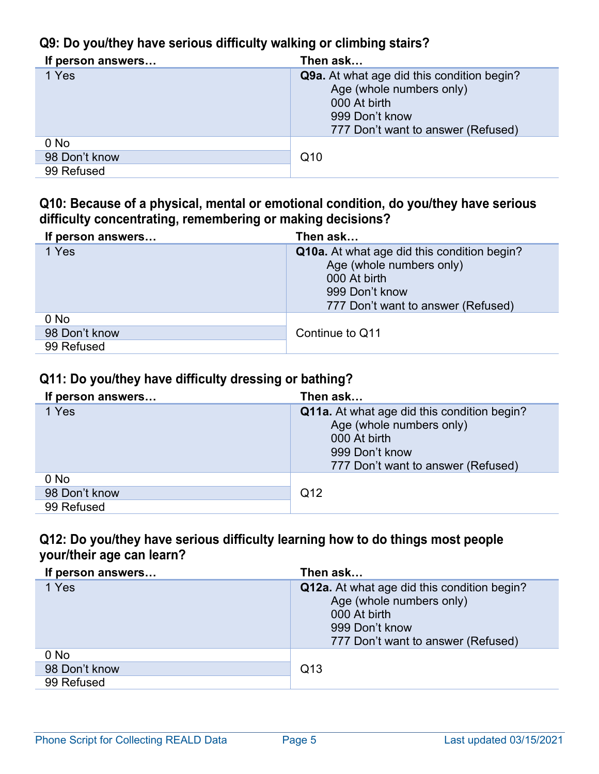# **Q9: Do you/they have serious difficulty walking or climbing stairs?**

| If person answers | Then ask                                                                                                                                              |
|-------------------|-------------------------------------------------------------------------------------------------------------------------------------------------------|
| 1 Yes             | <b>Q9a.</b> At what age did this condition begin?<br>Age (whole numbers only)<br>000 At birth<br>999 Don't know<br>777 Don't want to answer (Refused) |
| $0$ No            |                                                                                                                                                       |
| 98 Don't know     | Q <sub>10</sub>                                                                                                                                       |
| 99 Refused        |                                                                                                                                                       |

#### **Q10: Because of a physical, mental or emotional condition, do you/they have serious difficulty concentrating, remembering or making decisions?**

| If person answers | Then ask                                                                                                                                               |
|-------------------|--------------------------------------------------------------------------------------------------------------------------------------------------------|
| 1 Yes             | <b>Q10a.</b> At what age did this condition begin?<br>Age (whole numbers only)<br>000 At birth<br>999 Don't know<br>777 Don't want to answer (Refused) |
| $0$ No            |                                                                                                                                                        |
| 98 Don't know     | Continue to Q11                                                                                                                                        |
| 99 Refused        |                                                                                                                                                        |

# **Q11: Do you/they have difficulty dressing or bathing?**

| If person answers | Then ask                                                                                                                                               |
|-------------------|--------------------------------------------------------------------------------------------------------------------------------------------------------|
| 1 Yes             | <b>Q11a.</b> At what age did this condition begin?<br>Age (whole numbers only)<br>000 At birth<br>999 Don't know<br>777 Don't want to answer (Refused) |
| $0$ No            |                                                                                                                                                        |
| 98 Don't know     | Q12                                                                                                                                                    |
| 99 Refused        |                                                                                                                                                        |

### **Q12: Do you/they have serious difficulty learning how to do things most people your/their age can learn?**

| If person answers | Then ask                                                                                                                                        |
|-------------------|-------------------------------------------------------------------------------------------------------------------------------------------------|
| 1 Yes             | Q12a. At what age did this condition begin?<br>Age (whole numbers only)<br>000 At birth<br>999 Don't know<br>777 Don't want to answer (Refused) |
| $0$ No            |                                                                                                                                                 |
| 98 Don't know     | Q13                                                                                                                                             |
| 99 Refused        |                                                                                                                                                 |